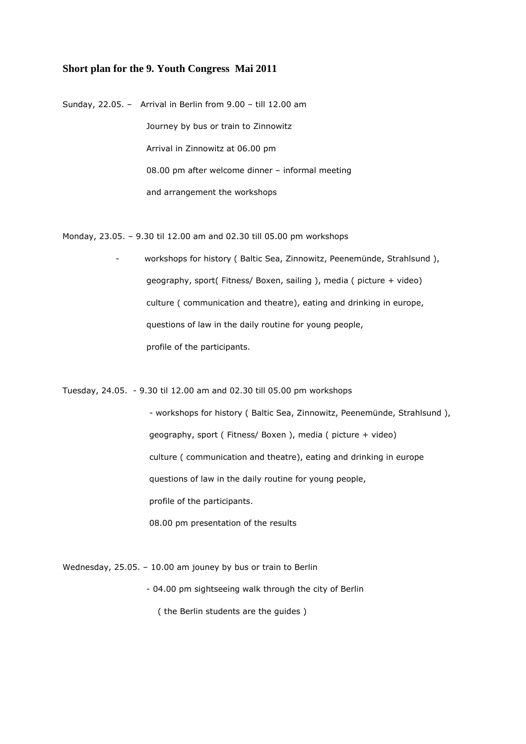## **Short plan for the 9. Youth Congress Mai 2011**

Sunday, 22.05. – Arrival in Berlin from 9.00 – till 12.00 am Journey by bus or train to Zinnowitz Arrival in Zinnowitz at 06.00 pm 08.00 pm after welcome dinner – informal meeting and arrangement the workshops

Monday, 23.05. – 9.30 til 12.00 am and 02.30 till 05.00 pm workshops

 - workshops for history ( Baltic Sea, Zinnowitz, Peenemünde, Strahlsund ), geography, sport( Fitness/ Boxen, sailing ), media ( picture + video) culture ( communication and theatre), eating and drinking in europe, questions of law in the daily routine for young people, profile of the participants.

Tuesday, 24.05. - 9.30 til 12.00 am and 02.30 till 05.00 pm workshops

 - workshops for history ( Baltic Sea, Zinnowitz, Peenemünde, Strahlsund ), geography, sport ( Fitness/ Boxen ), media ( picture + video) culture ( communication and theatre), eating and drinking in europe questions of law in the daily routine for young people, profile of the participants. 08.00 pm presentation of the results

Wednesday, 25.05. – 10.00 am jouney by bus or train to Berlin

 - 04.00 pm sightseeing walk through the city of Berlin ( the Berlin students are the guides )